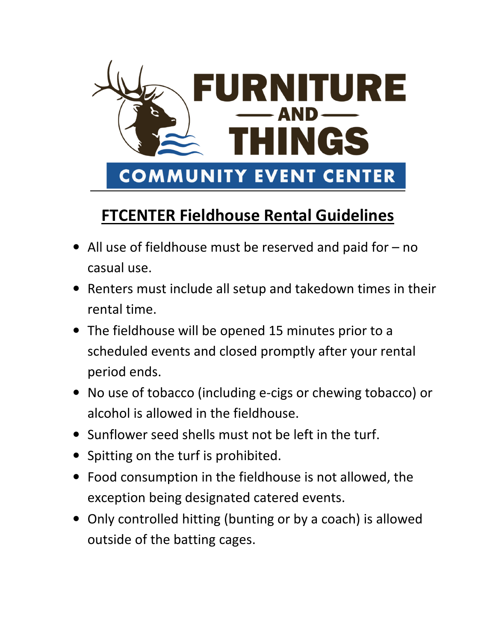

## **FTCENTER Fieldhouse Rental Guidelines**

- All use of fieldhouse must be reserved and paid for no casual use.
- Renters must include all setup and takedown times in their rental time.
- The fieldhouse will be opened 15 minutes prior to a scheduled events and closed promptly after your rental period ends.
- No use of tobacco (including e-cigs or chewing tobacco) or alcohol is allowed in the fieldhouse.
- Sunflower seed shells must not be left in the turf.
- Spitting on the turf is prohibited.
- Food consumption in the fieldhouse is not allowed, the exception being designated catered events.
- Only controlled hitting (bunting or by a coach) is allowed outside of the batting cages.